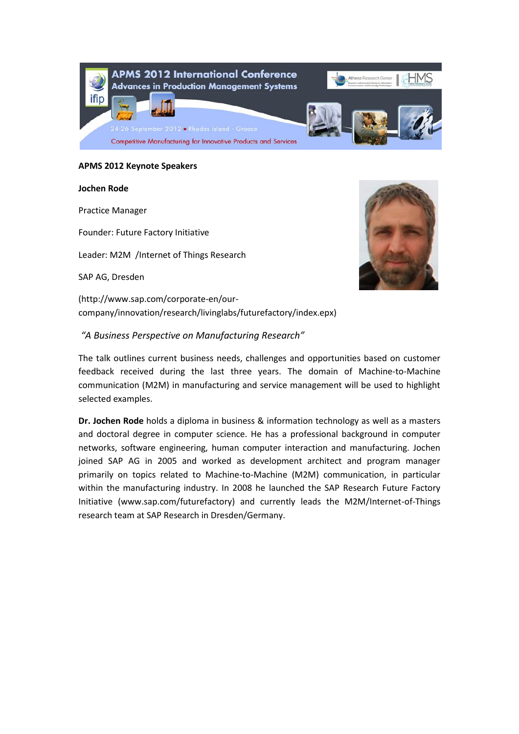

### **APMS 2012 Keynote Speakers**

#### **Jochen Rode**

Practice Manager

Founder: Future Factory Initiative

Leader: M2M /Internet of Things Research

SAP AG, Dresden



(http://www.sap.com/corporate-en/ourcompany/innovation/research/livinglabs/futurefactory/index.epx)

# *"A Business Perspective on Manufacturing Research"*

The talk outlines current business needs, challenges and opportunities based on customer feedback received during the last three years. The domain of Machine-to-Machine communication (M2M) in manufacturing and service management will be used to highlight selected examples.

**Dr. Jochen Rode** holds a diploma in business & information technology as well as a masters and doctoral degree in computer science. He has a professional background in computer networks, software engineering, human computer interaction and manufacturing. Jochen joined SAP AG in 2005 and worked as development architect and program manager primarily on topics related to Machine-to-Machine (M2M) communication, in particular within the manufacturing industry. In 2008 he launched the SAP Research Future Factory Initiative (www.sap.com/futurefactory) and currently leads the M2M/Internet-of-Things research team at SAP Research in Dresden/Germany.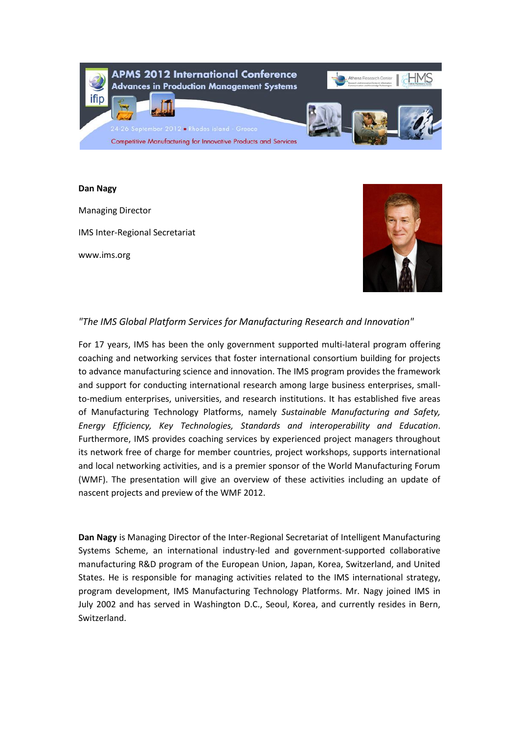

## **Dan Nagy**

Managing Director IMS Inter-Regional Secretariat www.ims.org



# *"The IMS Global Platform Services for Manufacturing Research and Innovation"*

For 17 years, IMS has been the only government supported multi-lateral program offering coaching and networking services that foster international consortium building for projects to advance manufacturing science and innovation. The IMS program provides the framework and support for conducting international research among large business enterprises, smallto-medium enterprises, universities, and research institutions. It has established five areas of Manufacturing Technology Platforms, namely *Sustainable Manufacturing and Safety, Energy Efficiency, Key Technologies, Standards and interoperability and Education*. Furthermore, IMS provides coaching services by experienced project managers throughout its network free of charge for member countries, project workshops, supports international and local networking activities, and is a premier sponsor of the World Manufacturing Forum (WMF). The presentation will give an overview of these activities including an update of nascent projects and preview of the WMF 2012.

**Dan Nagy** is Managing Director of the Inter-Regional Secretariat of Intelligent Manufacturing Systems Scheme, an international industry-led and government-supported collaborative manufacturing R&D program of the European Union, Japan, Korea, Switzerland, and United States. He is responsible for managing activities related to the IMS international strategy, program development, IMS Manufacturing Technology Platforms. Mr. Nagy joined IMS in July 2002 and has served in Washington D.C., Seoul, Korea, and currently resides in Bern, Switzerland.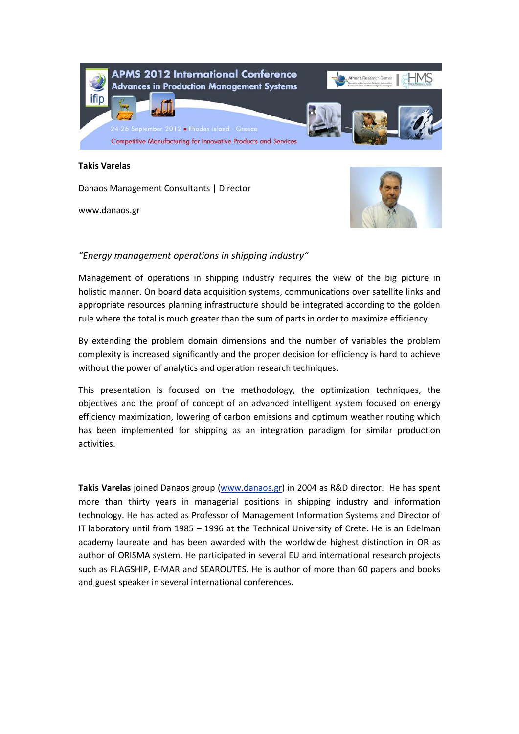

#### **Takis Varelas**

Danaos Management Consultants | Director

www.danaos.gr



# *"Energy management operations in shipping industry"*

Management of operations in shipping industry requires the view of the big picture in holistic manner. On board data acquisition systems, communications over satellite links and appropriate resources planning infrastructure should be integrated according to the golden rule where the total is much greater than the sum of parts in order to maximize efficiency.

By extending the problem domain dimensions and the number of variables the problem complexity is increased significantly and the proper decision for efficiency is hard to achieve without the power of analytics and operation research techniques.

This presentation is focused on the methodology, the optimization techniques, the objectives and the proof of concept of an advanced intelligent system focused on energy efficiency maximization, lowering of carbon emissions and optimum weather routing which has been implemented for shipping as an integration paradigm for similar production activities.

**Takis Varelas** joined Danaos group [\(www.danaos.gr\)](http://www.danaos.gr/) in 2004 as R&D director. He has spent more than thirty years in managerial positions in shipping industry and information technology. He has acted as Professor of Management Information Systems and Director of IT laboratory until from 1985 – 1996 at the Technical University of Crete. He is an Edelman academy laureate and has been awarded with the worldwide highest distinction in OR as author of ORISMA system. He participated in several EU and international research projects such as FLAGSHIP, E-MAR and SEAROUTES. He is author of more than 60 papers and books and guest speaker in several international conferences.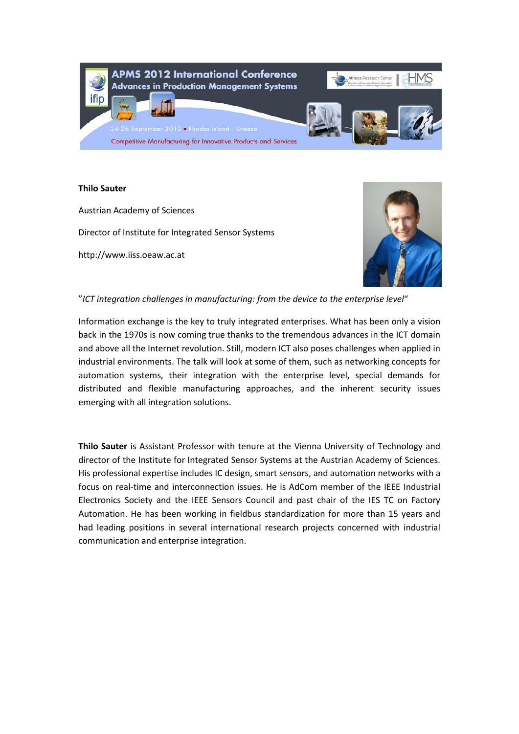

## **Thilo Sauter**

Austrian Academy of Sciences Director of Institute for Integrated Sensor Systems http://www.iiss.oeaw.ac.at



# "*ICT integration challenges in manufacturing: from the device to the enterprise level*"

Information exchange is the key to truly integrated enterprises. What has been only a vision back in the 1970s is now coming true thanks to the tremendous advances in the ICT domain and above all the Internet revolution. Still, modern ICT also poses challenges when applied in industrial environments. The talk will look at some of them, such as networking concepts for automation systems, their integration with the enterprise level, special demands for distributed and flexible manufacturing approaches, and the inherent security issues emerging with all integration solutions.

**Thilo Sauter** is Assistant Professor with tenure at the Vienna University of Technology and director of the Institute for Integrated Sensor Systems at the Austrian Academy of Sciences. His professional expertise includes IC design, smart sensors, and automation networks with a focus on real-time and interconnection issues. He is AdCom member of the IEEE Industrial Electronics Society and the IEEE Sensors Council and past chair of the IES TC on Factory Automation. He has been working in fieldbus standardization for more than 15 years and had leading positions in several international research projects concerned with industrial communication and enterprise integration.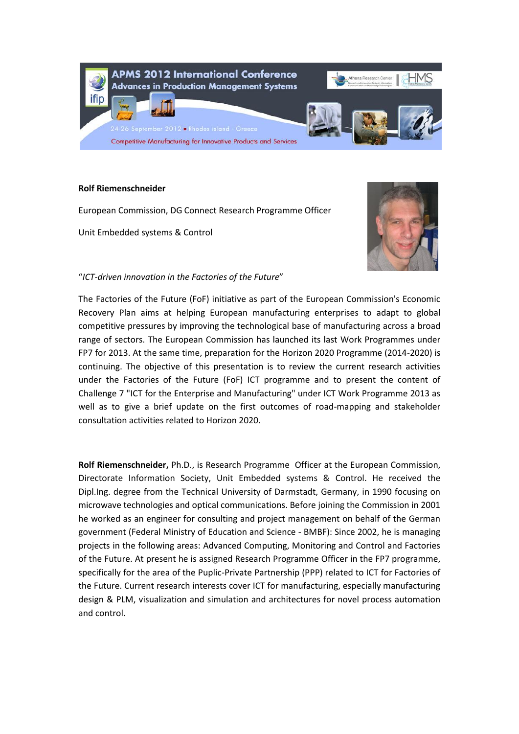

## **Rolf Riemenschneider**

European Commission, DG Connect Research Programme Officer

Unit Embedded systems & Control



# "*ICT-driven innovation in the Factories of the Future*"

The Factories of the Future (FoF) initiative as part of the European Commission's Economic Recovery Plan aims at helping European manufacturing enterprises to adapt to global competitive pressures by improving the technological base of manufacturing across a broad range of sectors. The European Commission has launched its last Work Programmes under FP7 for 2013. At the same time, preparation for the Horizon 2020 Programme (2014-2020) is continuing. The objective of this presentation is to review the current research activities under the Factories of the Future (FoF) ICT programme and to present the content of Challenge 7 "ICT for the Enterprise and Manufacturing" under ICT Work Programme 2013 as well as to give a brief update on the first outcomes of road-mapping and stakeholder consultation activities related to Horizon 2020.

**Rolf Riemenschneider,** Ph.D., is Research Programme Officer at the European Commission, Directorate Information Society, Unit Embedded systems & Control. He received the Dipl.Ing. degree from the Technical University of Darmstadt, Germany, in 1990 focusing on microwave technologies and optical communications. Before joining the Commission in 2001 he worked as an engineer for consulting and project management on behalf of the German government (Federal Ministry of Education and Science - BMBF): Since 2002, he is managing projects in the following areas: Advanced Computing, Monitoring and Control and Factories of the Future. At present he is assigned Research Programme Officer in the FP7 programme, specifically for the area of the Puplic-Private Partnership (PPP) related to ICT for Factories of the Future. Current research interests cover ICT for manufacturing, especially manufacturing design & PLM, visualization and simulation and architectures for novel process automation and control.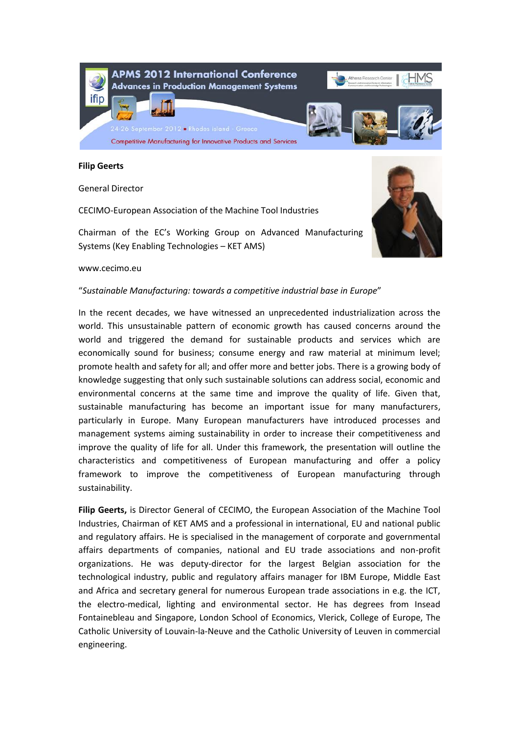

#### **Filip Geerts**

General Director

CECIMO-European Association of the Machine Tool Industries

Chairman of the EC's Working Group on Advanced Manufacturing Systems (Key Enabling Technologies – KET AMS)



#### www.cecimo.eu

#### "*Sustainable Manufacturing: towards a competitive industrial base in Europe*"

In the recent decades, we have witnessed an unprecedented industrialization across the world. This unsustainable pattern of economic growth has caused concerns around the world and triggered the demand for sustainable products and services which are economically sound for business; consume energy and raw material at minimum level; promote health and safety for all; and offer more and better jobs. There is a growing body of knowledge suggesting that only such sustainable solutions can address social, economic and environmental concerns at the same time and improve the quality of life. Given that, sustainable manufacturing has become an important issue for many manufacturers, particularly in Europe. Many European manufacturers have introduced processes and management systems aiming sustainability in order to increase their competitiveness and improve the quality of life for all. Under this framework, the presentation will outline the characteristics and competitiveness of European manufacturing and offer a policy framework to improve the competitiveness of European manufacturing through sustainability.

**Filip Geerts,** is Director General of CECIMO, the European Association of the Machine Tool Industries, Chairman of KET AMS and a professional in international, EU and national public and regulatory affairs. He is specialised in the management of corporate and governmental affairs departments of companies, national and EU trade associations and non-profit organizations. He was deputy-director for the largest Belgian association for the technological industry, public and regulatory affairs manager for IBM Europe, Middle East and Africa and secretary general for numerous European trade associations in e.g. the ICT, the electro-medical, lighting and environmental sector. He has degrees from Insead Fontainebleau and Singapore, London School of Economics, Vlerick, College of Europe, The Catholic University of Louvain-la-Neuve and the Catholic University of Leuven in commercial engineering.